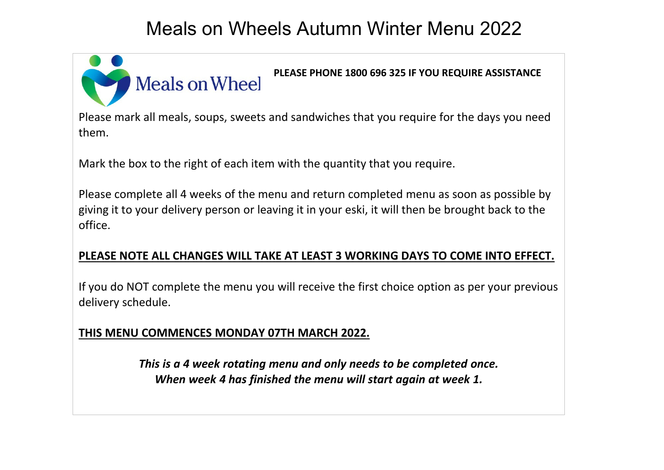# Meals on Wheels Autumn Winter Menu 2022



Please mark all meals, soups, sweets and sandwiches that you require for the days you need them.

Mark the box to the right of each item with the quantity that you require.

Please complete all 4 weeks of the menu and return completed menu as soon as possible by giving it to your delivery person or leaving it in your eski, it will then be brought back to the office.

#### **PLEASE NOTE ALL CHANGES WILL TAKE AT LEAST 3 WORKING DAYS TO COME INTO EFFECT.**

If you do NOT complete the menu you will receive the first choice option as per your previous delivery schedule.

#### **THIS MENU COMMENCES MONDAY 07TH MARCH 2022.**

*This is a 4 week rotating menu and only needs to be completed once. When week 4 has finished the menu will start again at week 1.*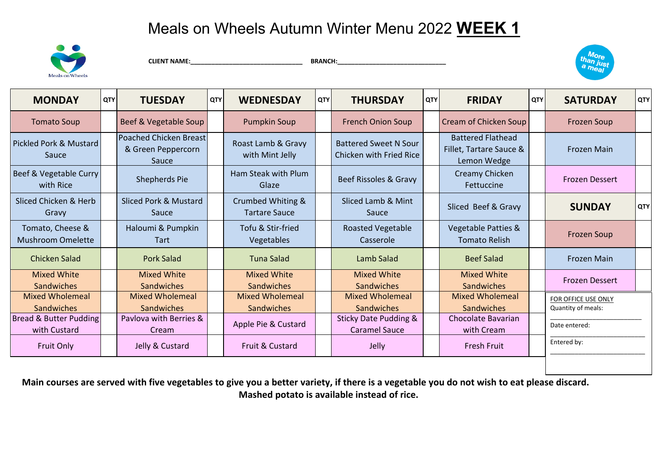

**CLIENT NAME:**<br>BRANCH:



| <b>MONDAY</b>                                | <b>QTY</b> | <b>TUESDAY</b>                                               | <b>QTY</b> | <b>WEDNESDAY</b>                            | <b>QTY</b> | <b>THURSDAY</b>                                          | QTY | <b>FRIDAY</b>                                                      | <b>QTY</b> | <b>SATURDAY</b>                           | <b>QTY</b> |
|----------------------------------------------|------------|--------------------------------------------------------------|------------|---------------------------------------------|------------|----------------------------------------------------------|-----|--------------------------------------------------------------------|------------|-------------------------------------------|------------|
| <b>Tomato Soup</b>                           |            | Beef & Vegetable Soup                                        |            | <b>Pumpkin Soup</b>                         |            | <b>French Onion Soup</b>                                 |     | Cream of Chicken Soup                                              |            | <b>Frozen Soup</b>                        |            |
| Pickled Pork & Mustard<br>Sauce              |            | <b>Poached Chicken Breast</b><br>& Green Peppercorn<br>Sauce |            | Roast Lamb & Gravy<br>with Mint Jelly       |            | <b>Battered Sweet N Sour</b><br>Chicken with Fried Rice  |     | <b>Battered Flathead</b><br>Fillet, Tartare Sauce &<br>Lemon Wedge |            | <b>Frozen Main</b>                        |            |
| Beef & Vegetable Curry<br>with Rice          |            | Shepherds Pie                                                |            | Ham Steak with Plum<br>Glaze                |            | Beef Rissoles & Gravy                                    |     | Creamy Chicken<br>Fettuccine                                       |            | <b>Frozen Dessert</b>                     |            |
| Sliced Chicken & Herb<br>Gravy               |            | Sliced Pork & Mustard<br>Sauce                               |            | Crumbed Whiting &<br>Tartare Sauce          |            | Sliced Lamb & Mint<br>Sauce                              |     | Sliced Beef & Gravy                                                |            | <b>SUNDAY</b>                             | <b>QTY</b> |
| Tomato, Cheese &<br><b>Mushroom Omelette</b> |            | Haloumi & Pumpkin<br><b>Tart</b>                             |            | Tofu & Stir-fried<br>Vegetables             |            | <b>Roasted Vegetable</b><br>Casserole                    |     | Vegetable Patties &<br><b>Tomato Relish</b>                        |            | <b>Frozen Soup</b>                        |            |
| <b>Chicken Salad</b>                         |            | Pork Salad                                                   |            | Tuna Salad                                  |            | Lamb Salad                                               |     | <b>Beef Salad</b>                                                  |            | <b>Frozen Main</b>                        |            |
| <b>Mixed White</b><br>Sandwiches             |            | <b>Mixed White</b><br>Sandwiches                             |            | Mixed White<br><b>Sandwiches</b>            |            | <b>Mixed White</b><br>Sandwiches                         |     | Mixed White<br>Sandwiches                                          |            | <b>Frozen Dessert</b>                     |            |
| <b>Mixed Wholemeal</b><br>Sandwiches         |            | <b>Mixed Wholemeal</b><br><b>Sandwiches</b>                  |            | <b>Mixed Wholemeal</b><br><b>Sandwiches</b> |            | <b>Mixed Wholemeal</b><br>Sandwiches                     |     | <b>Mixed Wholemeal</b><br><b>Sandwiches</b>                        |            | FOR OFFICE USE ONLY<br>Quantity of meals: |            |
| Bread & Butter Pudding<br>with Custard       |            | Paylova with Berries &<br>Cream                              |            | Apple Pie & Custard                         |            | <b>Sticky Date Pudding &amp;</b><br><b>Caramel Sauce</b> |     | Chocolate Bavarian<br>with Cream                                   |            | Date entered:                             |            |
| <b>Fruit Only</b>                            |            | Jelly & Custard                                              |            | Fruit & Custard                             |            | Jelly                                                    |     | <b>Fresh Fruit</b>                                                 |            | Entered by:                               |            |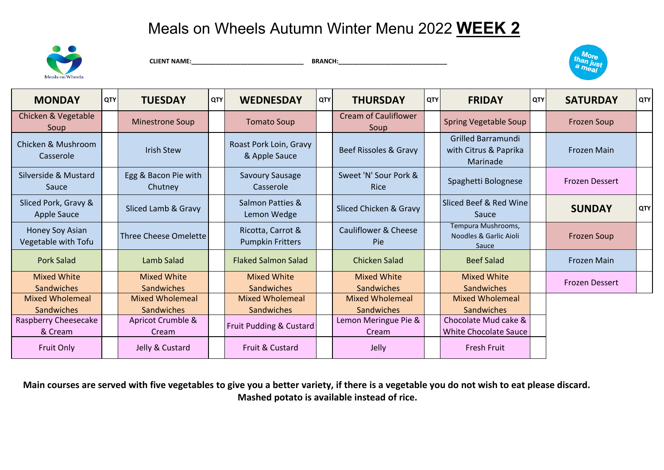

 **CLIENT NAME:\_\_\_\_\_\_\_\_\_\_\_\_\_\_\_\_\_\_\_\_\_\_\_\_\_\_\_\_\_\_\_\_ BRANCH:\_\_\_\_\_\_\_\_\_\_\_\_\_\_\_\_\_\_\_\_\_\_\_\_\_\_\_\_\_\_\_**



| <b>MONDAY</b>                              | <b>QTY</b> | <b>TUESDAY</b>                   | <b>QTY</b> | <b>WEDNESDAY</b>                             | QTY | <b>THURSDAY</b>                         | QTY | <b>FRIDAY</b>                                                  | QTY | <b>SATURDAY</b>       | QTY        |
|--------------------------------------------|------------|----------------------------------|------------|----------------------------------------------|-----|-----------------------------------------|-----|----------------------------------------------------------------|-----|-----------------------|------------|
| Chicken & Vegetable<br>Soup                |            | <b>Minestrone Soup</b>           |            | <b>Tomato Soup</b>                           |     | <b>Cream of Cauliflower</b><br>Soup     |     | <b>Spring Vegetable Soup</b>                                   |     | Frozen Soup           |            |
| Chicken & Mushroom<br>Casserole            |            | <b>Irish Stew</b>                |            | Roast Pork Loin, Gravy<br>& Apple Sauce      |     | Beef Rissoles & Gravy                   |     | <b>Grilled Barramundi</b><br>with Citrus & Paprika<br>Marinade |     | Frozen Main           |            |
| Silverside & Mustard<br>Sauce              |            | Egg & Bacon Pie with<br>Chutney  |            | <b>Savoury Sausage</b><br>Casserole          |     | Sweet 'N' Sour Pork &<br><b>Rice</b>    |     | Spaghetti Bolognese                                            |     | <b>Frozen Dessert</b> |            |
| Sliced Pork, Gravy &<br><b>Apple Sauce</b> |            | Sliced Lamb & Gravy              |            | Salmon Patties &<br>Lemon Wedge              |     | Sliced Chicken & Gravy                  |     | Sliced Beef & Red Wine<br>Sauce                                |     | <b>SUNDAY</b>         | <b>QTY</b> |
| Honey Soy Asian<br>Vegetable with Tofu     |            | <b>Three Cheese Omelette</b>     |            | Ricotta, Carrot &<br><b>Pumpkin Fritters</b> |     | Cauliflower & Cheese<br>Pie             |     | Tempura Mushrooms,<br>Noodles & Garlic Aioli<br>Sauce          |     | <b>Frozen Soup</b>    |            |
| <b>Pork Salad</b>                          |            | Lamb Salad                       |            | <b>Flaked Salmon Salad</b>                   |     | Chicken Salad                           |     | <b>Beef Salad</b>                                              |     | <b>Frozen Main</b>    |            |
| <b>Mixed White</b><br>Sandwiches           |            | <b>Mixed White</b><br>Sandwiches |            | <b>Mixed White</b><br><b>Sandwiches</b>      |     | <b>Mixed White</b><br><b>Sandwiches</b> |     | <b>Mixed White</b><br><b>Sandwiches</b>                        |     | <b>Frozen Dessert</b> |            |
| <b>Mixed Wholemeal</b>                     |            | <b>Mixed Wholemeal</b>           |            | <b>Mixed Wholemeal</b>                       |     | <b>Mixed Wholemeal</b>                  |     | <b>Mixed Wholemeal</b>                                         |     |                       |            |
| Sandwiches                                 |            | Sandwiches                       |            | Sandwiches                                   |     | <b>Sandwiches</b>                       |     | <b>Sandwiches</b>                                              |     |                       |            |
| Raspberry Cheesecake                       |            | Apricot Crumble &                |            | Fruit Pudding & Custard                      |     | Lemon Meringue Pie &                    |     | Chocolate Mud cake &                                           |     |                       |            |
| & Cream                                    |            | Cream                            |            |                                              |     | Cream                                   |     | <b>White Chocolate Sauce</b>                                   |     |                       |            |
| <b>Fruit Only</b>                          |            | Jelly & Custard                  |            | Fruit & Custard                              |     | Jelly                                   |     | <b>Fresh Fruit</b>                                             |     |                       |            |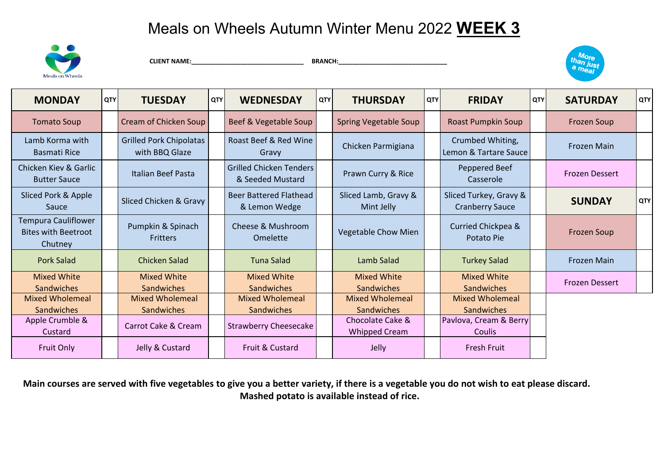

**CLIENT NAME:**<br>BRANCH:



| <b>MONDAY</b>                                                       | <b>QTY</b> | <b>TUESDAY</b>                                   | <b>QTY</b> | <b>WEDNESDAY</b>                                   | <b>QTY</b> | <b>THURSDAY</b>                          | <b>QTY</b> | <b>FRIDAY</b>                                    | <b>QTY</b> | <b>SATURDAY</b>    | <b>QTY</b> |
|---------------------------------------------------------------------|------------|--------------------------------------------------|------------|----------------------------------------------------|------------|------------------------------------------|------------|--------------------------------------------------|------------|--------------------|------------|
| <b>Tomato Soup</b>                                                  |            | Cream of Chicken Soup                            |            | Beef & Vegetable Soup                              |            | Spring Vegetable Soup                    |            | <b>Roast Pumpkin Soup</b>                        |            | <b>Frozen Soup</b> |            |
| Lamb Korma with<br>Basmati Rice                                     |            | <b>Grilled Pork Chipolatas</b><br>with BBQ Glaze |            | Roast Beef & Red Wine<br>Gravy                     |            | Chicken Parmigiana                       |            | Crumbed Whiting,<br>Lemon & Tartare Sauce        |            | <b>Frozen Main</b> |            |
| Chicken Kiev & Garlic<br><b>Butter Sauce</b>                        |            | <b>Italian Beef Pasta</b>                        |            | <b>Grilled Chicken Tenders</b><br>& Seeded Mustard |            | Prawn Curry & Rice                       |            | Peppered Beef<br>Casserole                       |            | Frozen Dessert     |            |
| Sliced Pork & Apple<br>Sauce                                        |            | Sliced Chicken & Gravy                           |            | Beer Battered Flathead<br>& Lemon Wedge            |            | Sliced Lamb, Gravy &<br>Mint Jelly       |            | Sliced Turkey, Gravy &<br><b>Cranberry Sauce</b> |            | <b>SUNDAY</b>      | QTY        |
| <b>Tempura Cauliflower</b><br><b>Bites with Beetroot</b><br>Chutney |            | Pumpkin & Spinach<br><b>Fritters</b>             |            | Cheese & Mushroom<br>Omelette                      |            | Vegetable Chow Mien                      |            | Curried Chickpea &<br>Potato Pie                 |            | <b>Frozen Soup</b> |            |
| <b>Pork Salad</b>                                                   |            | Chicken Salad                                    |            | Tuna Salad                                         |            | Lamb Salad                               |            | <b>Turkey Salad</b>                              |            | <b>Frozen Main</b> |            |
| <b>Mixed White</b><br>Sandwiches                                    |            | <b>Mixed White</b><br>Sandwiches                 |            | <b>Mixed White</b><br>Sandwiches                   |            | <b>Mixed White</b><br>Sandwiches         |            | <b>Mixed White</b><br>Sandwiches                 |            | Frozen Dessert     |            |
| <b>Mixed Wholemeal</b><br><b>Sandwiches</b>                         |            | <b>Mixed Wholemeal</b><br>Sandwiches             |            | <b>Mixed Wholemeal</b><br>Sandwiches               |            | <b>Mixed Wholemeal</b><br>Sandwiches     |            | <b>Mixed Wholemeal</b><br>Sandwiches             |            |                    |            |
| Apple Crumble &<br>Custard                                          |            | Carrot Cake & Cream                              |            | <b>Strawberry Cheesecake</b>                       |            | Chocolate Cake &<br><b>Whipped Cream</b> |            | Pavlova, Cream & Berry<br>Coulis                 |            |                    |            |
| Fruit Only                                                          |            | Jelly & Custard                                  |            | Fruit & Custard                                    |            | Jelly                                    |            | <b>Fresh Fruit</b>                               |            |                    |            |